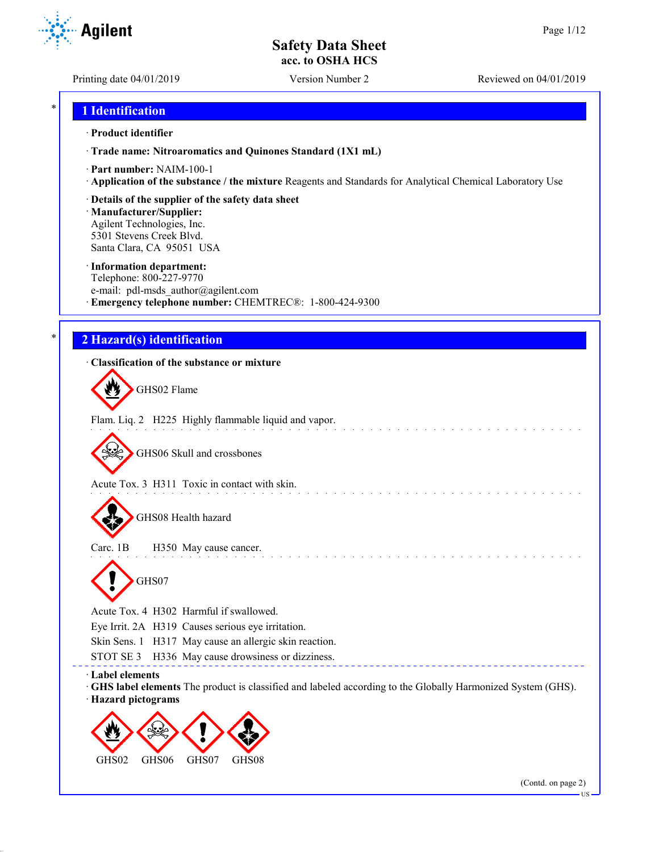Printing date 04/01/2019 Version Number 2 Reviewed on 04/01/2019

**Agilent** 

## \* **1 Identification**

#### · **Product identifier**

· **Trade name: Nitroaromatics and Quinones Standard (1X1 mL)**

- · **Part number:** NAIM-100-1
- · **Application of the substance / the mixture** Reagents and Standards for Analytical Chemical Laboratory Use
- · **Details of the supplier of the safety data sheet**

· **Manufacturer/Supplier:** Agilent Technologies, Inc. 5301 Stevens Creek Blvd. Santa Clara, CA 95051 USA

#### · **Information department:**

Telephone: 800-227-9770 e-mail: pdl-msds author@agilent.com · **Emergency telephone number:** CHEMTREC®: 1-800-424-9300

# \* **2 Hazard(s) identification**

## · **Classification of the substance or mixture**

GHS02 Flame

Flam. Liq. 2 H225 Highly flammable liquid and vapor.

GHS06 Skull and crossbones

Acute Tox. 3 H311 Toxic in contact with skin.

GHS08 Health hazard

Carc. 1B H350 May cause cancer. GHS07

Acute Tox. 4 H302 Harmful if swallowed.

Eye Irrit. 2A H319 Causes serious eye irritation.

Skin Sens. 1 H317 May cause an allergic skin reaction.

STOT SE 3 H336 May cause drowsiness or dizziness.

· **Label elements**

- · **GHS label elements** The product is classified and labeled according to the Globally Harmonized System (GHS).
- · **Hazard pictograms**

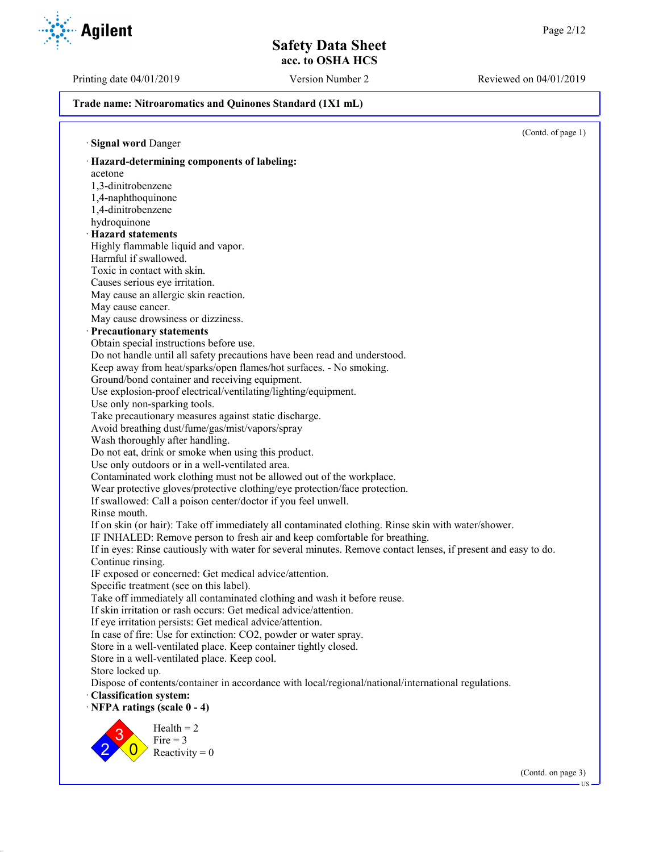Printing date 04/01/2019 Version Number 2 Reviewed on 04/01/2019



**Trade name: Nitroaromatics and Quinones Standard (1X1 mL)**

(Contd. of page 1) · **Signal word** Danger · **Hazard-determining components of labeling:** acetone 1,3-dinitrobenzene 1,4-naphthoquinone 1,4-dinitrobenzene hydroquinone · **Hazard statements** Highly flammable liquid and vapor. Harmful if swallowed. Toxic in contact with skin. Causes serious eye irritation. May cause an allergic skin reaction. May cause cancer. May cause drowsiness or dizziness. · **Precautionary statements** Obtain special instructions before use. Do not handle until all safety precautions have been read and understood. Keep away from heat/sparks/open flames/hot surfaces. - No smoking. Ground/bond container and receiving equipment. Use explosion-proof electrical/ventilating/lighting/equipment. Use only non-sparking tools. Take precautionary measures against static discharge. Avoid breathing dust/fume/gas/mist/vapors/spray Wash thoroughly after handling. Do not eat, drink or smoke when using this product. Use only outdoors or in a well-ventilated area. Contaminated work clothing must not be allowed out of the workplace. Wear protective gloves/protective clothing/eye protection/face protection. If swallowed: Call a poison center/doctor if you feel unwell. Rinse mouth. If on skin (or hair): Take off immediately all contaminated clothing. Rinse skin with water/shower. IF INHALED: Remove person to fresh air and keep comfortable for breathing. If in eyes: Rinse cautiously with water for several minutes. Remove contact lenses, if present and easy to do. Continue rinsing. IF exposed or concerned: Get medical advice/attention. Specific treatment (see on this label). Take off immediately all contaminated clothing and wash it before reuse. If skin irritation or rash occurs: Get medical advice/attention. If eye irritation persists: Get medical advice/attention. In case of fire: Use for extinction: CO2, powder or water spray. Store in a well-ventilated place. Keep container tightly closed. Store in a well-ventilated place. Keep cool. Store locked up. Dispose of contents/container in accordance with local/regional/national/international regulations. · **Classification system:** · **NFPA ratings (scale 0 - 4)** 2 3  $\overline{0}$  $Health = 2$ Fire  $= 3$ Reactivity  $= 0$ (Contd. on page 3) US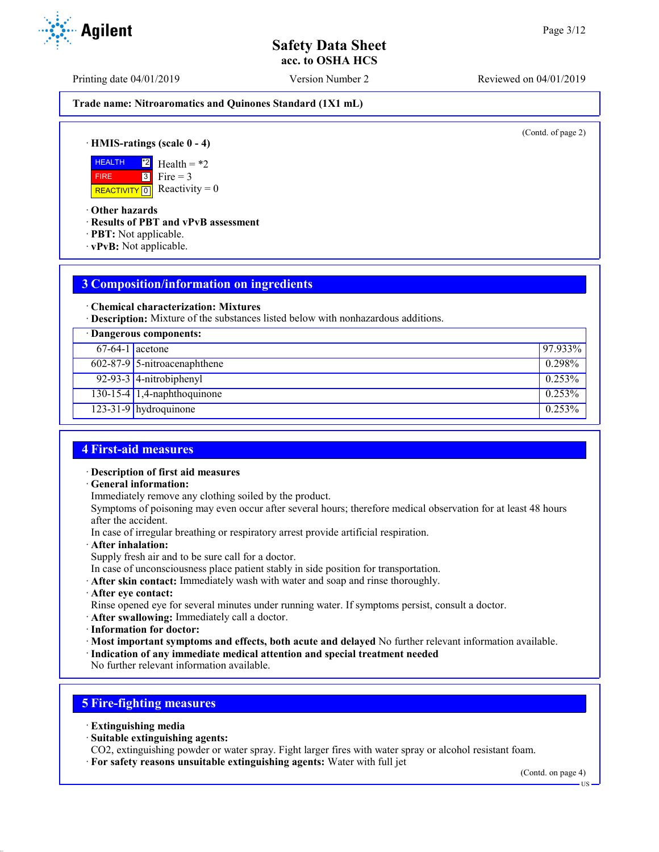Printing date 04/01/2019 Version Number 2 Reviewed on 04/01/2019

**Trade name: Nitroaromatics and Quinones Standard (1X1 mL)**

(Contd. of page 2)

· **HMIS-ratings (scale 0 - 4)**

**HEALTH**  FIRE REACTIVITY  $\boxed{0}$  Reactivity = 0 \*2  $\overline{3}$ Health =  $*2$ Fire  $= 3$ 

· **Other hazards**

· **Results of PBT and vPvB assessment**

- · **PBT:** Not applicable.
- · **vPvB:** Not applicable.

# **3 Composition/information on ingredients**

· **Chemical characterization: Mixtures**

· **Description:** Mixture of the substances listed below with nonhazardous additions.

| · Dangerous components: |                                |           |
|-------------------------|--------------------------------|-----------|
| $67-64-1$ acetone       |                                | 97.933%   |
|                         | $602-87-9$ 5-nitroacenaphthene | 0.298%    |
|                         | $92-93-3$ 4-nitrobiphenyl      | 0.253%    |
|                         | $130-15-4$ 1,4-naphthoquinone  | $0.253\%$ |
|                         | $123-31-9$ hydroquinone        | $0.253\%$ |

## **4 First-aid measures**

### · **Description of first aid measures**

· **General information:**

Immediately remove any clothing soiled by the product.

Symptoms of poisoning may even occur after several hours; therefore medical observation for at least 48 hours after the accident.

In case of irregular breathing or respiratory arrest provide artificial respiration.

· **After inhalation:**

Supply fresh air and to be sure call for a doctor.

- In case of unconsciousness place patient stably in side position for transportation.
- · **After skin contact:** Immediately wash with water and soap and rinse thoroughly.
- · **After eye contact:**

Rinse opened eye for several minutes under running water. If symptoms persist, consult a doctor.

- · **After swallowing:** Immediately call a doctor.
- · **Information for doctor:**

· **Most important symptoms and effects, both acute and delayed** No further relevant information available.

· **Indication of any immediate medical attention and special treatment needed**

No further relevant information available.

# **5 Fire-fighting measures**

- · **Extinguishing media**
- · **Suitable extinguishing agents:**

CO2, extinguishing powder or water spray. Fight larger fires with water spray or alcohol resistant foam.

· **For safety reasons unsuitable extinguishing agents:** Water with full jet

(Contd. on page 4)

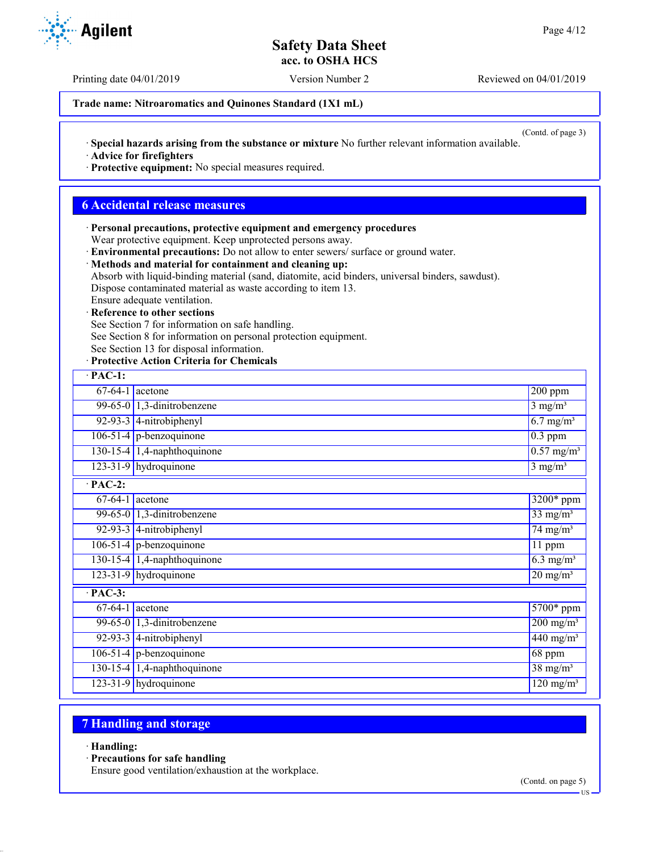Printing date 04/01/2019 Version Number 2 Reviewed on 04/01/2019

**Trade name: Nitroaromatics and Quinones Standard (1X1 mL)**

(Contd. of page 3)

· **Special hazards arising from the substance or mixture** No further relevant information available.

· **Advice for firefighters**

· **Protective equipment:** No special measures required.

# **6 Accidental release measures**

· **Personal precautions, protective equipment and emergency procedures** Wear protective equipment. Keep unprotected persons away.

· **Environmental precautions:** Do not allow to enter sewers/ surface or ground water.

# · **Methods and material for containment and cleaning up:**

Absorb with liquid-binding material (sand, diatomite, acid binders, universal binders, sawdust).

Dispose contaminated material as waste according to item 13.

#### Ensure adequate ventilation. **Reference to other sections**

See Section 7 for information on safe handling.

See Section 8 for information on personal protection equipment.

See Section 13 for disposal information.

## · **Protective Action Criteria for Chemicals**

| $\cdot$ PAC-1: |                                     |                         |  |  |
|----------------|-------------------------------------|-------------------------|--|--|
|                | $67-64-1$ acetone                   | 200 ppm                 |  |  |
|                | 99-65-0 $\vert$ 1,3-dinitrobenzene  | $3 \text{ mg/m}^3$      |  |  |
|                | 92-93-3 $ $ 4-nitrobiphenyl         | $6.7$ mg/m <sup>3</sup> |  |  |
|                | $106-51-4$ p-benzoquinone           | $0.3$ ppm               |  |  |
|                | $130-15-4$ 1,4-naphthoquinone       | $0.57 \text{ mg/m}^3$   |  |  |
|                | 123-31-9 hydroquinone               | $3$ mg/m <sup>3</sup>   |  |  |
| $PAC-2$ :      |                                     |                         |  |  |
|                | $67-64-1$ acetone                   | 3200* ppm               |  |  |
|                | 99-65-0 $\vert$ 1,3-dinitrobenzene  | $33$ mg/m <sup>3</sup>  |  |  |
|                | $92-93-3$ 4-nitrobiphenyl           | $74$ mg/m <sup>3</sup>  |  |  |
|                | $106-51-4$ p-benzoquinone           | $11$ ppm                |  |  |
|                | 130-15-4 $\vert$ 1,4-naphthoquinone | $6.3 \text{ mg/m}^3$    |  |  |
|                | $123-31-9$ hydroquinone             | $20 \text{ mg/m}^3$     |  |  |
| $PAC-3$ :      |                                     |                         |  |  |
|                | $\overline{67-64-1}$ acetone        | $5700*$ ppm             |  |  |
|                | 99-65-0 $\vert$ 1,3-dinitrobenzene  | $200$ mg/m <sup>3</sup> |  |  |
|                | 92-93-3 $ $ 4-nitrobiphenyl         | $440$ mg/m <sup>3</sup> |  |  |
|                | $106-51-4$ p-benzoquinone           | 68 ppm                  |  |  |
|                | 130-15-4 $\vert$ 1,4-naphthoquinone | $38 \text{ mg/m}^3$     |  |  |
|                | $123-31-9$ hydroquinone             | $120 \text{ mg/m}^3$    |  |  |

# **7 Handling and storage**

### · **Handling:**

· **Precautions for safe handling**

Ensure good ventilation/exhaustion at the workplace.



US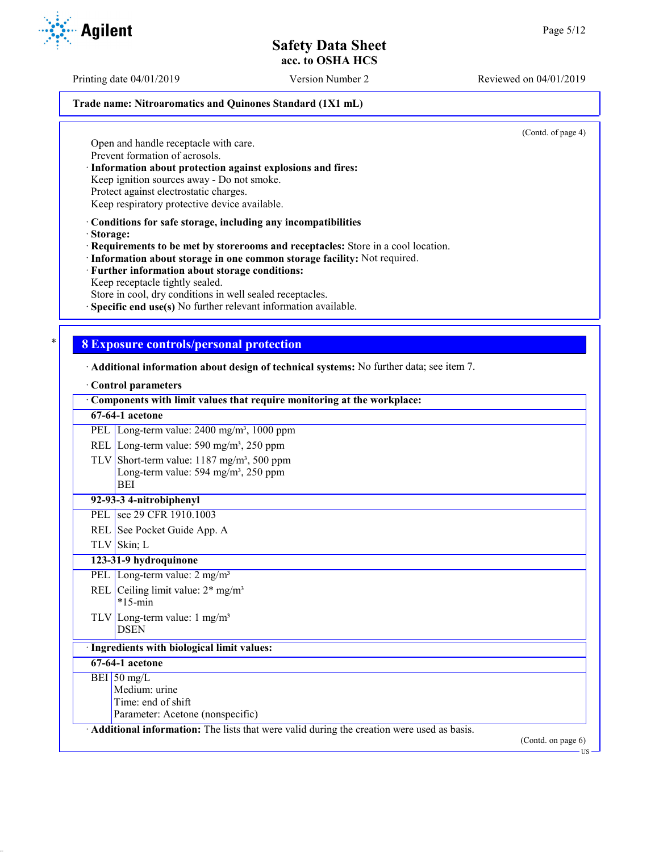Printing date 04/01/2019 Version Number 2 Reviewed on 04/01/2019

#### **Trade name: Nitroaromatics and Quinones Standard (1X1 mL)**

(Contd. of page 4)

Open and handle receptacle with care. Prevent formation of aerosols.

· **Information about protection against explosions and fires:**

Keep ignition sources away - Do not smoke.

Protect against electrostatic charges.

Keep respiratory protective device available.

· **Conditions for safe storage, including any incompatibilities**

· **Storage:**

· **Requirements to be met by storerooms and receptacles:** Store in a cool location.

· **Information about storage in one common storage facility:** Not required.

· **Further information about storage conditions:** Keep receptacle tightly sealed.

Store in cool, dry conditions in well sealed receptacles.

Specific end use(s) No further relevant information available.

## \* **8 Exposure controls/personal protection**

· **Additional information about design of technical systems:** No further data; see item 7.

#### · **Control parameters**

| Components with limit values that require monitoring at the workplace:                    |                              |
|-------------------------------------------------------------------------------------------|------------------------------|
| 67-64-1 acetone                                                                           |                              |
| PEL Long-term value: 2400 mg/m <sup>3</sup> , 1000 ppm                                    |                              |
| REL Long-term value: 590 mg/m <sup>3</sup> , 250 ppm                                      |                              |
| TLV Short-term value: $1187 \text{ mg/m}^3$ , 500 ppm                                     |                              |
| Long-term value: $594 \text{ mg/m}^3$ , $250 \text{ ppm}$                                 |                              |
| <b>BEI</b>                                                                                |                              |
| 92-93-3 4-nitrobiphenyl                                                                   |                              |
| PEL see 29 CFR 1910.1003                                                                  |                              |
| REL See Pocket Guide App. A                                                               |                              |
| TLV Skin; L                                                                               |                              |
| 123-31-9 hydroquinone                                                                     |                              |
| PEL Long-term value: $2 \text{ mg/m}^3$                                                   |                              |
| REL Ceiling limit value: $2*$ mg/m <sup>3</sup>                                           |                              |
| $*15$ -min                                                                                |                              |
| TLV Long-term value: $1 \text{ mg/m}^3$                                                   |                              |
| <b>DSEN</b>                                                                               |                              |
| · Ingredients with biological limit values:                                               |                              |
| 67-64-1 acetone                                                                           |                              |
| BEI 50 mg/L                                                                               |                              |
| Medium: urine                                                                             |                              |
| Time: end of shift                                                                        |                              |
| Parameter: Acetone (nonspecific)                                                          |                              |
| Additional information: The lists that were valid during the creation were used as basis. |                              |
|                                                                                           | (Contd. on page 6)<br>$US -$ |

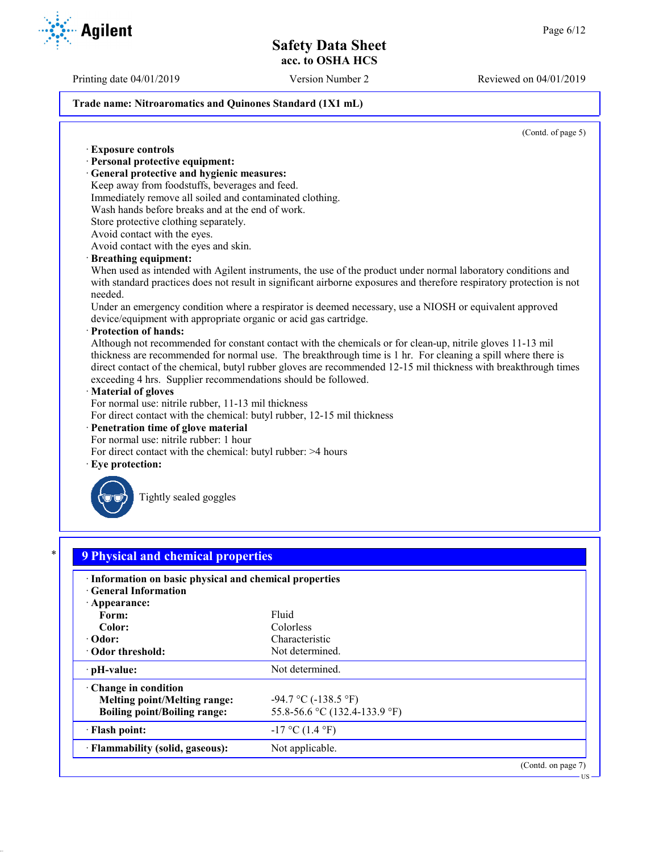Printing date 04/01/2019 Version Number 2 Reviewed on 04/01/2019

#### **Trade name: Nitroaromatics and Quinones Standard (1X1 mL)**

(Contd. of page 5)

· **Exposure controls** · **Personal protective equipment:** · **General protective and hygienic measures:** Keep away from foodstuffs, beverages and feed. Immediately remove all soiled and contaminated clothing. Wash hands before breaks and at the end of work. Store protective clothing separately. Avoid contact with the eyes. Avoid contact with the eyes and skin. · **Breathing equipment:** When used as intended with Agilent instruments, the use of the product under normal laboratory conditions and with standard practices does not result in significant airborne exposures and therefore respiratory protection is not needed. Under an emergency condition where a respirator is deemed necessary, use a NIOSH or equivalent approved device/equipment with appropriate organic or acid gas cartridge. · **Protection of hands:** Although not recommended for constant contact with the chemicals or for clean-up, nitrile gloves 11-13 mil thickness are recommended for normal use. The breakthrough time is 1 hr. For cleaning a spill where there is direct contact of the chemical, butyl rubber gloves are recommended 12-15 mil thickness with breakthrough times exceeding 4 hrs. Supplier recommendations should be followed. · **Material of gloves** For normal use: nitrile rubber, 11-13 mil thickness For direct contact with the chemical: butyl rubber, 12-15 mil thickness · **Penetration time of glove material** For normal use: nitrile rubber: 1 hour For direct contact with the chemical: butyl rubber: >4 hours Eye protection: Tightly sealed goggles \* **9 Physical and chemical properties** · **Information on basic physical and chemical properties** · **General Information** · **Appearance:** Form: Fluid **Color:** Colorless **· Odor:** Characteristic Characteristic Characteristic Characteristic Characteristic Characteristic Characteristic Characteristic Characteristic Characteristic Characteristic Characteristic Characteristic Characteristic Ch **· Odor threshold: PH-value:** Not determined. · **Change in condition Melting point/Melting range:**  $-94.7 \degree C (-138.5 \degree F)$ **Boiling point/Boiling range:** 55.8-56.6 °C (132.4-133.9 °F)  $\cdot$  **Flash point:**  $-17 \degree C (1.4 \degree F)$ **Flammability (solid, gaseous):** Not applicable. (Contd. on page 7) US

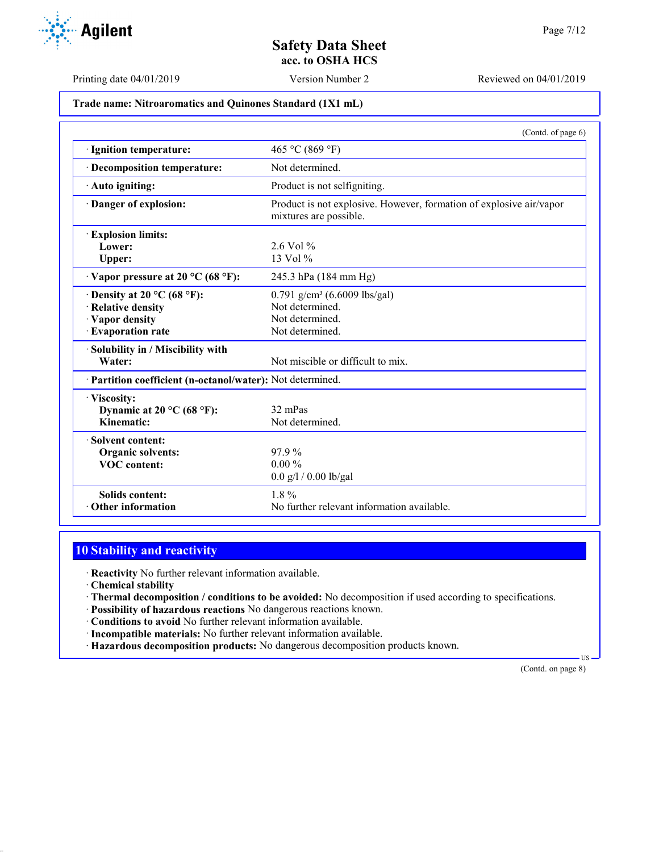

Printing date 04/01/2019 Version Number 2 Reviewed on 04/01/2019

**Trade name: Nitroaromatics and Quinones Standard (1X1 mL)**

|                                                                                                                   | (Contd. of page 6)                                                                                |
|-------------------------------------------------------------------------------------------------------------------|---------------------------------------------------------------------------------------------------|
| · Ignition temperature:                                                                                           | 465 °C (869 °F)                                                                                   |
| · Decomposition temperature:                                                                                      | Not determined.                                                                                   |
| · Auto igniting:                                                                                                  | Product is not selfigniting.                                                                      |
| Danger of explosion:                                                                                              | Product is not explosive. However, formation of explosive air/vapor<br>mixtures are possible.     |
| <b>Explosion limits:</b><br>Lower:<br>Upper:                                                                      | $2.6$ Vol %<br>13 Vol $%$                                                                         |
| $\cdot$ Vapor pressure at 20 °C (68 °F):                                                                          | 245.3 hPa (184 mm Hg)                                                                             |
| Density at 20 $^{\circ}$ C (68 $^{\circ}$ F):<br>· Relative density<br>· Vapor density<br><b>Evaporation rate</b> | 0.791 g/cm <sup>3</sup> (6.6009 lbs/gal)<br>Not determined.<br>Not determined.<br>Not determined. |
| Solubility in / Miscibility with<br>Water:                                                                        | Not miscible or difficult to mix.                                                                 |
| Partition coefficient (n-octanol/water): Not determined.                                                          |                                                                                                   |
| · Viscosity:<br>Dynamic at 20 °C (68 °F):<br>Kinematic:                                                           | 32 mPas<br>Not determined.                                                                        |
| Solvent content:<br><b>Organic solvents:</b><br><b>VOC</b> content:                                               | 97.9%<br>$0.00\%$<br>$0.0$ g/l / 0.00 lb/gal                                                      |
| <b>Solids content:</b><br>Other information                                                                       | $1.8\%$<br>No further relevant information available.                                             |

# **10 Stability and reactivity**

· **Reactivity** No further relevant information available.

· **Chemical stability**

· **Thermal decomposition / conditions to be avoided:** No decomposition if used according to specifications.

· **Possibility of hazardous reactions** No dangerous reactions known.

· **Conditions to avoid** No further relevant information available.

- · **Incompatible materials:** No further relevant information available.
- · **Hazardous decomposition products:** No dangerous decomposition products known.

(Contd. on page 8)

US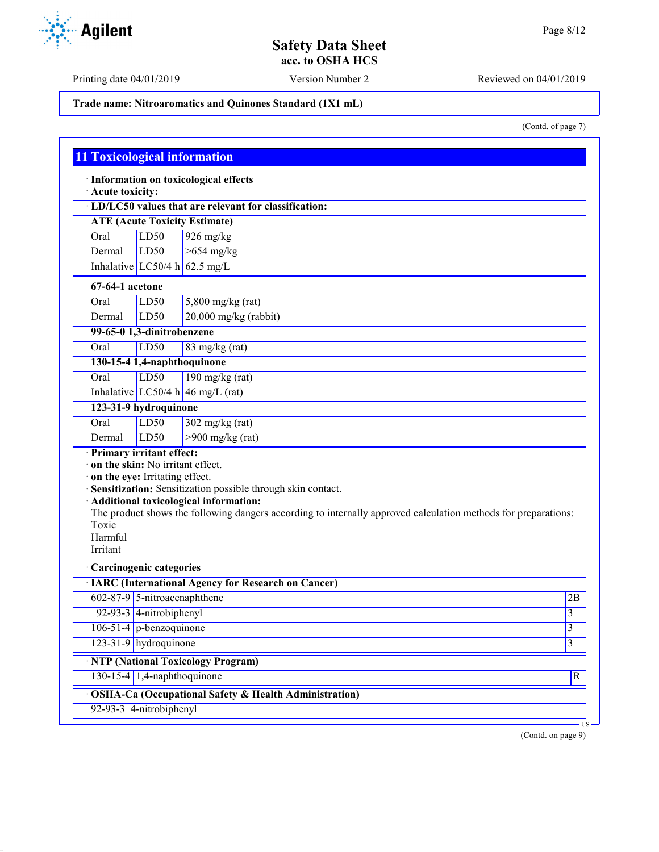Agilent

Printing date 04/01/2019 Version Number 2 Reviewed on 04/01/2019

## **Trade name: Nitroaromatics and Quinones Standard (1X1 mL)**

(Contd. of page 7)

| Acute toxicity:              |                                                                    | · LD/LC50 values that are relevant for classification:                                                                                                                                                                     |    |
|------------------------------|--------------------------------------------------------------------|----------------------------------------------------------------------------------------------------------------------------------------------------------------------------------------------------------------------------|----|
|                              |                                                                    | <b>ATE (Acute Toxicity Estimate)</b>                                                                                                                                                                                       |    |
| Oral                         | LD50                                                               | $926$ mg/kg                                                                                                                                                                                                                |    |
| Dermal                       | LD50                                                               | $>654$ mg/kg                                                                                                                                                                                                               |    |
|                              |                                                                    | Inhalative LC50/4 h 62.5 mg/L                                                                                                                                                                                              |    |
| $67-64-1$ acetone            |                                                                    |                                                                                                                                                                                                                            |    |
| Oral                         | LD50                                                               | $5,800$ mg/kg (rat)                                                                                                                                                                                                        |    |
| Dermal                       | LD <sub>50</sub>                                                   | $20,000$ mg/kg (rabbit)                                                                                                                                                                                                    |    |
|                              | 99-65-0 1,3-dinitrobenzene                                         |                                                                                                                                                                                                                            |    |
| Oral                         | LD50                                                               | $83$ mg/kg (rat)                                                                                                                                                                                                           |    |
|                              | 130-15-4 1,4-naphthoquinone                                        |                                                                                                                                                                                                                            |    |
| Oral                         | LD <sub>50</sub>                                                   | $190$ mg/kg (rat)                                                                                                                                                                                                          |    |
|                              |                                                                    | Inhalative LC50/4 h 46 mg/L (rat)                                                                                                                                                                                          |    |
|                              | 123-31-9 hydroquinone                                              |                                                                                                                                                                                                                            |    |
| Oral                         | LD50                                                               | $302$ mg/kg (rat)                                                                                                                                                                                                          |    |
| Dermal                       | LD50                                                               | $>900$ mg/kg (rat)                                                                                                                                                                                                         |    |
| Toxic<br>Harmful<br>Irritant | on the skin: No irritant effect.<br>on the eye: Irritating effect. | · Sensitization: Sensitization possible through skin contact.<br>· Additional toxicological information:<br>The product shows the following dangers according to internally approved calculation methods for preparations: |    |
|                              | Carcinogenic categories                                            | <b>IARC</b> (International Agency for Research on Cancer)                                                                                                                                                                  |    |
|                              | 602-87-9 5-nitroacenaphthene                                       |                                                                                                                                                                                                                            | 2B |
|                              | 92-93-3 4-nitrobiphenyl                                            |                                                                                                                                                                                                                            | 3  |
|                              | $106-51-4$ p-benzoquinone                                          |                                                                                                                                                                                                                            | 3  |
|                              | 123-31-9 hydroquinone                                              |                                                                                                                                                                                                                            | 3  |
|                              |                                                                    |                                                                                                                                                                                                                            |    |
|                              |                                                                    | · NTP (National Toxicology Program)                                                                                                                                                                                        |    |

(Contd. on page 9)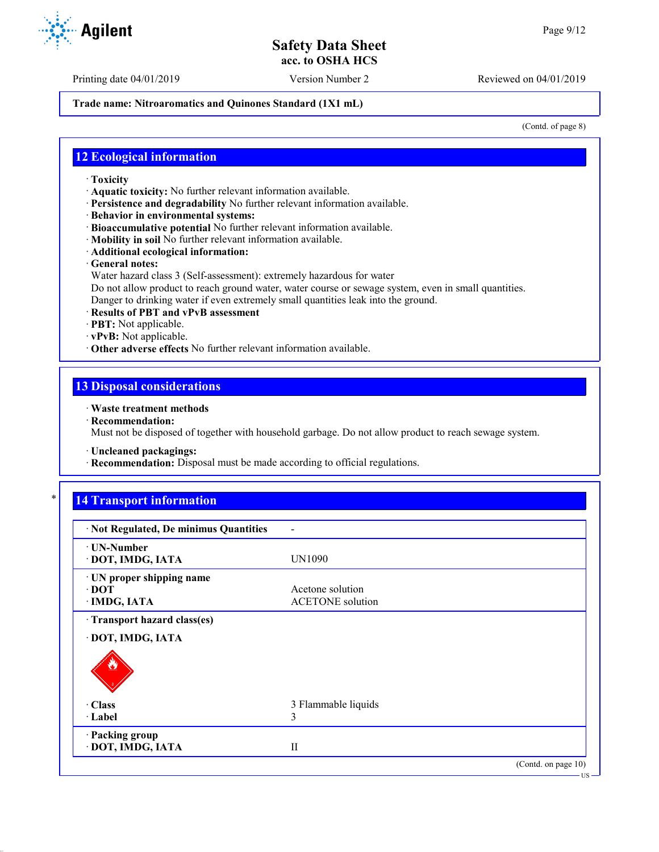#### **Trade name: Nitroaromatics and Quinones Standard (1X1 mL)**

(Contd. of page 8)

### **12 Ecological information**

- · **Toxicity**
- · **Aquatic toxicity:** No further relevant information available.
- · **Persistence and degradability** No further relevant information available.
- · **Behavior in environmental systems:**
- · **Bioaccumulative potential** No further relevant information available.
- · **Mobility in soil** No further relevant information available.
- · **Additional ecological information:**
- · **General notes:**
- Water hazard class 3 (Self-assessment): extremely hazardous for water

Do not allow product to reach ground water, water course or sewage system, even in small quantities. Danger to drinking water if even extremely small quantities leak into the ground.

- 
- · **Results of PBT and vPvB assessment**
- · **PBT:** Not applicable.
- · **vPvB:** Not applicable. · **Other adverse effects** No further relevant information available.
- **13 Disposal considerations**

### · **Waste treatment methods**

· **Recommendation:**

Must not be disposed of together with household garbage. Do not allow product to reach sewage system.

- · **Uncleaned packagings:**
- · **Recommendation:** Disposal must be made according to official regulations.

# **14 Transport information**

| · Not Regulated, De minimus Quantities                 |                                             |                     |
|--------------------------------------------------------|---------------------------------------------|---------------------|
| <b>· UN-Number</b><br>DOT, IMDG, IATA                  | UN1090                                      |                     |
| UN proper shipping name<br>$\cdot$ DOT<br>· IMDG, IATA | Acetone solution<br><b>ACETONE</b> solution |                     |
| Transport hazard class(es)                             |                                             |                     |
| DOT, IMDG, IATA                                        |                                             |                     |
|                                                        |                                             |                     |
| · Class                                                | 3 Flammable liquids                         |                     |
| · Label                                                | 3                                           |                     |
| · Packing group<br>DOT, IMDG, IATA                     | $_{\rm II}$                                 |                     |
|                                                        |                                             | (Contd. on page 10) |
|                                                        |                                             | $\cdot$ US -        |



Printing date 04/01/2019 Version Number 2 Reviewed on 04/01/2019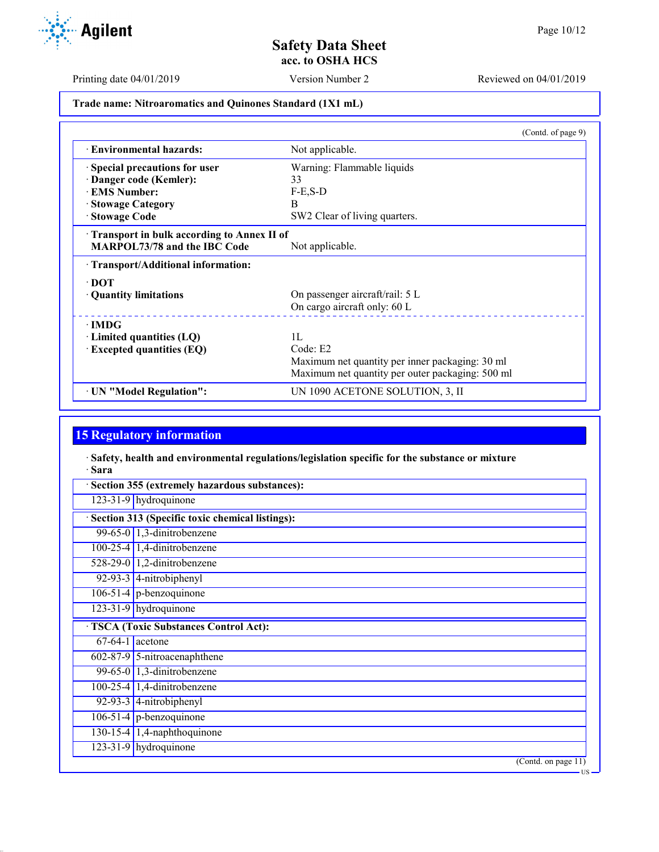

US

Printing date 04/01/2019 Version Number 2 Reviewed on 04/01/2019

**Trade name: Nitroaromatics and Quinones Standard (1X1 mL)**

|                                            | (Contd. of page 9)                               |
|--------------------------------------------|--------------------------------------------------|
| <b>Environmental hazards:</b>              | Not applicable.                                  |
| Special precautions for user               | Warning: Flammable liquids                       |
| Danger code (Kemler):                      | 33                                               |
| <b>EMS Number:</b>                         | $F-E$ , $S-D$                                    |
| <b>Stowage Category</b>                    | B                                                |
| · Stowage Code                             | SW2 Clear of living quarters.                    |
| Transport in bulk according to Annex II of |                                                  |
| <b>MARPOL73/78 and the IBC Code</b>        | Not applicable.                                  |
| · Transport/Additional information:        |                                                  |
| $\cdot$ DOT                                |                                                  |
| • Quantity limitations                     | On passenger aircraft/rail: 5 L                  |
|                                            | On cargo aircraft only: 60 L                     |
| ∙ IMDG                                     |                                                  |
| Limited quantities (LQ)                    | 1L                                               |
| <b>Excepted quantities (EQ)</b>            | Code: E2                                         |
|                                            | Maximum net quantity per inner packaging: 30 ml  |
|                                            | Maximum net quantity per outer packaging: 500 ml |
| · UN "Model Regulation":                   | UN 1090 ACETONE SOLUTION, 3, II                  |

# **15 Regulatory information**

· **Safety, health and environmental regulations/legislation specific for the substance or mixture** · **Sara**

| Section 355 (extremely hazardous substances): |                                                 |  |
|-----------------------------------------------|-------------------------------------------------|--|
|                                               | 123-31-9 hydroquinone                           |  |
|                                               | Section 313 (Specific toxic chemical listings): |  |
|                                               | 99-65-0 $\vert$ 1,3-dinitrobenzene              |  |
|                                               | $100-25-4$ 1,4-dinitrobenzene                   |  |
|                                               | 528-29-0 1,2-dinitrobenzene                     |  |
|                                               | 92-93-3 4-nitrobiphenyl                         |  |
|                                               | $106-51-4$ p-benzoquinone                       |  |
|                                               | 123-31-9 hydroquinone                           |  |
|                                               | <b>TSCA (Toxic Substances Control Act):</b>     |  |
|                                               | $67-64-1$ acetone                               |  |
|                                               | $602-87-9$ 5-nitroacenaphthene                  |  |
|                                               | 99-65-0 $\vert$ 1,3-dinitrobenzene              |  |
|                                               | $100-25-4$ 1,4-dinitrobenzene                   |  |
|                                               | 92-93-3 $ $ 4-nitrobiphenyl                     |  |
|                                               | $106-51-4$ p-benzoquinone                       |  |
|                                               | 130-15-4 $\vert$ 1,4-naphthoquinone             |  |
|                                               | $123-31-9$ hydroquinone                         |  |
|                                               | (Contd. on page 11)                             |  |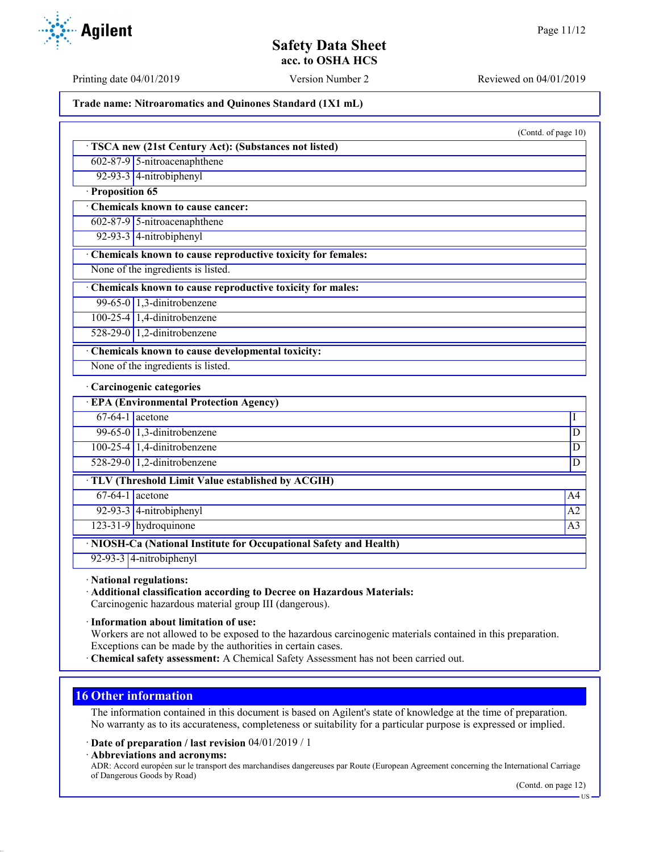**Agilent** 

Printing date 04/01/2019 Version Number 2 Reviewed on 04/01/2019

**Trade name: Nitroaromatics and Quinones Standard (1X1 mL)**

(Contd. of page 10) · **TSCA new (21st Century Act): (Substances not listed)** 602-87-9 5-nitroacenaphthene 92-93-3 4-nitrobiphenyl · **Proposition 65** · **Chemicals known to cause cancer:** 602-87-9 5-nitroacenaphthene 92-93-3 4-nitrobiphenyl · **Chemicals known to cause reproductive toxicity for females:** None of the ingredients is listed. · **Chemicals known to cause reproductive toxicity for males:** 99-65-0  $\vert$  1,3-dinitrobenzene 100-25-4 1,4-dinitrobenzene 528-29-0 1,2-dinitrobenzene · **Chemicals known to cause developmental toxicity:** None of the ingredients is listed. · **Carcinogenic categories** · **EPA (Environmental Protection Agency)**  $67-64-1$  acetone  $1$ 99-65-0 1,3-dinitrobenzene D 100-25-4 1,4-dinitrobenzene D 528-29-0 1,2-dinitrobenzene D · **TLV (Threshold Limit Value established by ACGIH)**  $67-64-1$  acetone  $\overline{A4}$  $92-93-3$  4-nitrobiphenyl  $\overline{A2}$ 123-31-9 hydroquinone A3

· **NIOSH-Ca (National Institute for Occupational Safety and Health)**

92-93-3 4-nitrobiphenyl

· **National regulations:**

· **Additional classification according to Decree on Hazardous Materials:**

Carcinogenic hazardous material group III (dangerous).

· **Information about limitation of use:**

Workers are not allowed to be exposed to the hazardous carcinogenic materials contained in this preparation. Exceptions can be made by the authorities in certain cases.

· **Chemical safety assessment:** A Chemical Safety Assessment has not been carried out.

## **16 Other information**

The information contained in this document is based on Agilent's state of knowledge at the time of preparation. No warranty as to its accurateness, completeness or suitability for a particular purpose is expressed or implied.

· **Date of preparation / last revision** 04/01/2019 / 1

· **Abbreviations and acronyms:**

ADR: Accord européen sur le transport des marchandises dangereuses par Route (European Agreement concerning the International Carriage of Dangerous Goods by Road)

(Contd. on page 12)

US